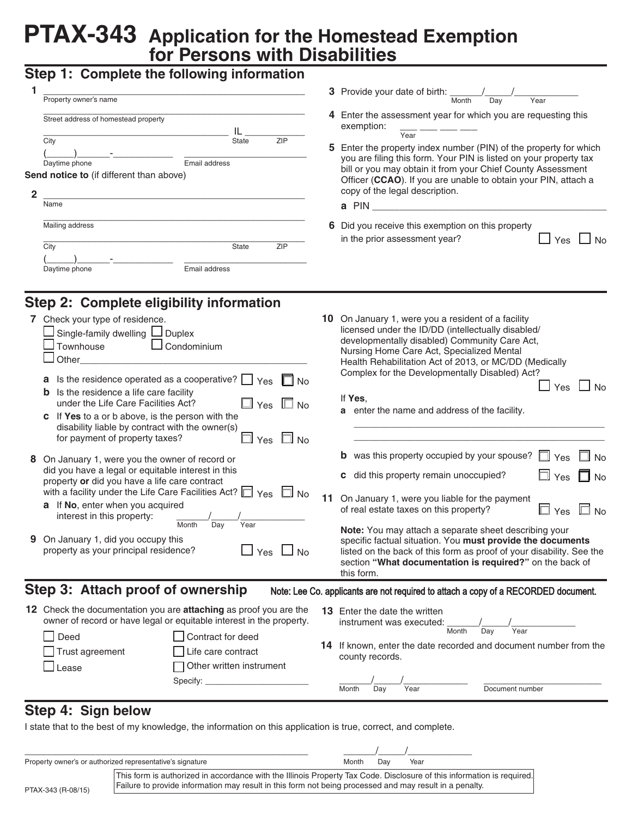# **PTAX-343 Application for the Homestead Exemption for Persons with Disabilities**

# **Step 1: Complete the following information**

| 1              | <b>Step 1. Complete the longwing implification</b>                                                                                                                                                                                                                                                         |                                                                                                                                                                                                                                                                  |  |  |  |  |
|----------------|------------------------------------------------------------------------------------------------------------------------------------------------------------------------------------------------------------------------------------------------------------------------------------------------------------|------------------------------------------------------------------------------------------------------------------------------------------------------------------------------------------------------------------------------------------------------------------|--|--|--|--|
|                | Property owner's name                                                                                                                                                                                                                                                                                      | <b>3</b> Provide your date of birth: $\frac{1}{\text{Month}}$<br>$\overline{Day}$<br>Year                                                                                                                                                                        |  |  |  |  |
|                | Street address of homestead property                                                                                                                                                                                                                                                                       | 4 Enter the assessment year for which you are requesting this<br>exemption:<br>Year                                                                                                                                                                              |  |  |  |  |
|                | City<br><b>ZIP</b><br><b>State</b><br>Email address<br>Daytime phone                                                                                                                                                                                                                                       | 5 Enter the property index number (PIN) of the property for which<br>you are filing this form. Your PIN is listed on your property tax                                                                                                                           |  |  |  |  |
|                | Send notice to (if different than above)                                                                                                                                                                                                                                                                   | bill or you may obtain it from your Chief County Assessment<br>Officer (CCAO). If you are unable to obtain your PIN, attach a<br>copy of the legal description.                                                                                                  |  |  |  |  |
| $\overline{2}$ | Name                                                                                                                                                                                                                                                                                                       |                                                                                                                                                                                                                                                                  |  |  |  |  |
|                | Mailing address                                                                                                                                                                                                                                                                                            | 6 Did you receive this exemption on this property<br>in the prior assessment year?<br>$\sqcup$ Yes                                                                                                                                                               |  |  |  |  |
|                | State<br><b>ZIP</b><br>City                                                                                                                                                                                                                                                                                | ⊿ No                                                                                                                                                                                                                                                             |  |  |  |  |
|                | Email address<br>Daytime phone                                                                                                                                                                                                                                                                             |                                                                                                                                                                                                                                                                  |  |  |  |  |
|                | Step 2: Complete eligibility information                                                                                                                                                                                                                                                                   |                                                                                                                                                                                                                                                                  |  |  |  |  |
|                | 7 Check your type of residence.<br>Single-family dwelling L Duplex<br>$\Box$ Condominium<br>Townhouse<br>Other                                                                                                                                                                                             | 10 On January 1, were you a resident of a facility<br>licensed under the ID/DD (intellectually disabled/<br>developmentally disabled) Community Care Act,<br>Nursing Home Care Act, Specialized Mental<br>Health Rehabilitation Act of 2013, or MC/DD (Medically |  |  |  |  |
|                | <b>a</b> Is the residence operated as a cooperative? $\Box$ Yes $\Box$<br><b>No</b><br>Is the residence a life care facility<br>$\mathbb{J}$ Yes $\ \Box$ No<br>under the Life Care Facilities Act?<br>c If Yes to a or b above, is the person with the<br>disability liable by contract with the owner(s) | Complex for the Developmentally Disabled) Act?<br>$\Box$ Yes<br>$\Box$ No<br>If Yes.<br>a enter the name and address of the facility.                                                                                                                            |  |  |  |  |
|                | $\exists$ Yes $\;\Box$ No<br>for payment of property taxes?                                                                                                                                                                                                                                                | <b>b</b> was this property occupied by your spouse?<br>$\exists$ Yes<br>$\Box$ No                                                                                                                                                                                |  |  |  |  |
|                | 8 On January 1, were you the owner of record or<br>did you have a legal or equitable interest in this<br>property or did you have a life care contract                                                                                                                                                     | c did this property remain unoccupied?<br>$\Box$ Yes<br>$\Box$ No                                                                                                                                                                                                |  |  |  |  |
|                | with a facility under the Life Care Facilities Act? $\Box$ Yes $\Box$ No<br>a If No, enter when you acquired<br>interest in this property:                                                                                                                                                                 | 11 On January 1, were you liable for the payment<br>$\square$ No<br>$\Box$ Yes<br>of real estate taxes on this property?                                                                                                                                         |  |  |  |  |
|                | Month<br>Day<br>Year<br>9 On January 1, did you occupy this<br>property as your principal residence?<br>$\Box$ Yes<br><b>No</b>                                                                                                                                                                            | Note: You may attach a separate sheet describing your<br>specific factual situation. You must provide the documents<br>listed on the back of this form as proof of your disability. See the<br>section "What documentation is required?" on the back of          |  |  |  |  |

# **Step 3: Attach proof of ownership**

Note: Lee Co. applicants are not required to attach a copy of a RECORDED document.

 **12** Check the documentation you are **attaching** as proof you are the owner of record or have legal or equitable interest in the property. Deed Contract for deed Trust agreement Life care contract □ Lease **Demandation** Other written instrument Specify: 13 Enter the date the written instrument was executed:  $\frac{1}{\text{Month}}$  Day **Month 14** If known, enter the date recorded and document number from the county records. \_\_\_\_\_\_/\_\_\_\_\_/\_\_\_\_\_\_\_\_\_\_\_\_ \_\_\_\_\_\_\_\_\_\_\_\_\_\_\_\_\_\_\_\_\_\_ Month Day Year Document number

this form.

# **Step 4: Sign below**

I state that to the best of my knowledge, the information on this application is true, correct, and complete.

|                    | Property owner's or authorized representative's signature                                                                                                                                                                         | Month | Dav | Year |  |
|--------------------|-----------------------------------------------------------------------------------------------------------------------------------------------------------------------------------------------------------------------------------|-------|-----|------|--|
| PTAX-343 (R-08/15) | This form is authorized in accordance with the Illinois Property Tax Code. Disclosure of this information is required.<br>Failure to provide information may result in this form not being processed and may result in a penalty. |       |     |      |  |
|                    |                                                                                                                                                                                                                                   |       |     |      |  |